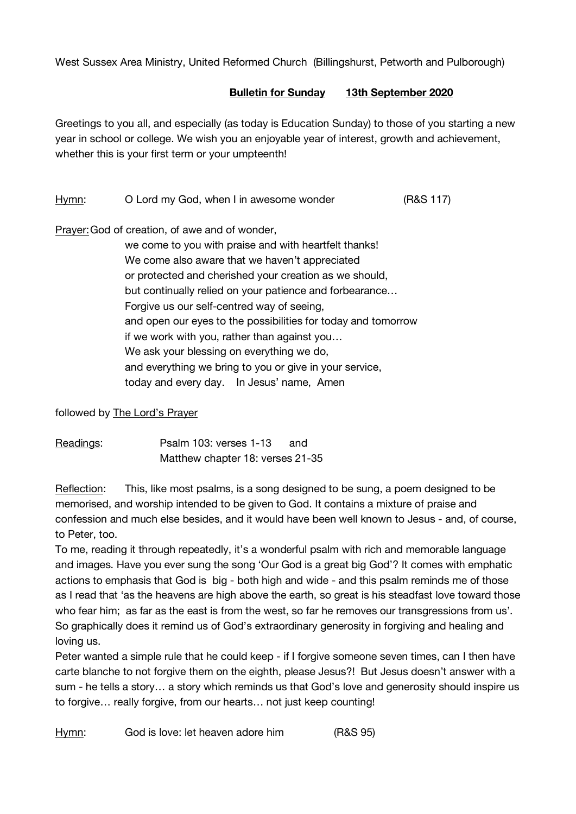West Sussex Area Ministry, United Reformed Church (Billingshurst, Petworth and Pulborough)

## **Bulletin for Sunday 13th September 2020**

Greetings to you all, and especially (as today is Education Sunday) to those of you starting a new year in school or college. We wish you an enjoyable year of interest, growth and achievement, whether this is your first term or your umpteenth!

## Hymn: O Lord my God, when I in awesome wonder (R&S 117)

Prayer: God of creation, of awe and of wonder,

we come to you with praise and with heartfelt thanks! We come also aware that we haven't appreciated or protected and cherished your creation as we should, but continually relied on your patience and forbearance… Forgive us our self-centred way of seeing, and open our eyes to the possibilities for today and tomorrow if we work with you, rather than against you… We ask your blessing on everything we do, and everything we bring to you or give in your service, today and every day. In Jesus' name, Amen

followed by The Lord's Prayer

| Readings: | Psalm 103: verses 1-13           | and |
|-----------|----------------------------------|-----|
|           | Matthew chapter 18: verses 21-35 |     |

Reflection: This, like most psalms, is a song designed to be sung, a poem designed to be memorised, and worship intended to be given to God. It contains a mixture of praise and confession and much else besides, and it would have been well known to Jesus - and, of course, to Peter, too.

To me, reading it through repeatedly, it's a wonderful psalm with rich and memorable language and images. Have you ever sung the song 'Our God is a great big God'? It comes with emphatic actions to emphasis that God is big - both high and wide - and this psalm reminds me of those as I read that 'as the heavens are high above the earth, so great is his steadfast love toward those who fear him; as far as the east is from the west, so far he removes our transgressions from us'. So graphically does it remind us of God's extraordinary generosity in forgiving and healing and loving us.

Peter wanted a simple rule that he could keep - if I forgive someone seven times, can I then have carte blanche to not forgive them on the eighth, please Jesus?! But Jesus doesn't answer with a sum - he tells a story… a story which reminds us that God's love and generosity should inspire us to forgive… really forgive, from our hearts… not just keep counting!

Hymn: God is love: let heaven adore him (R&S 95)